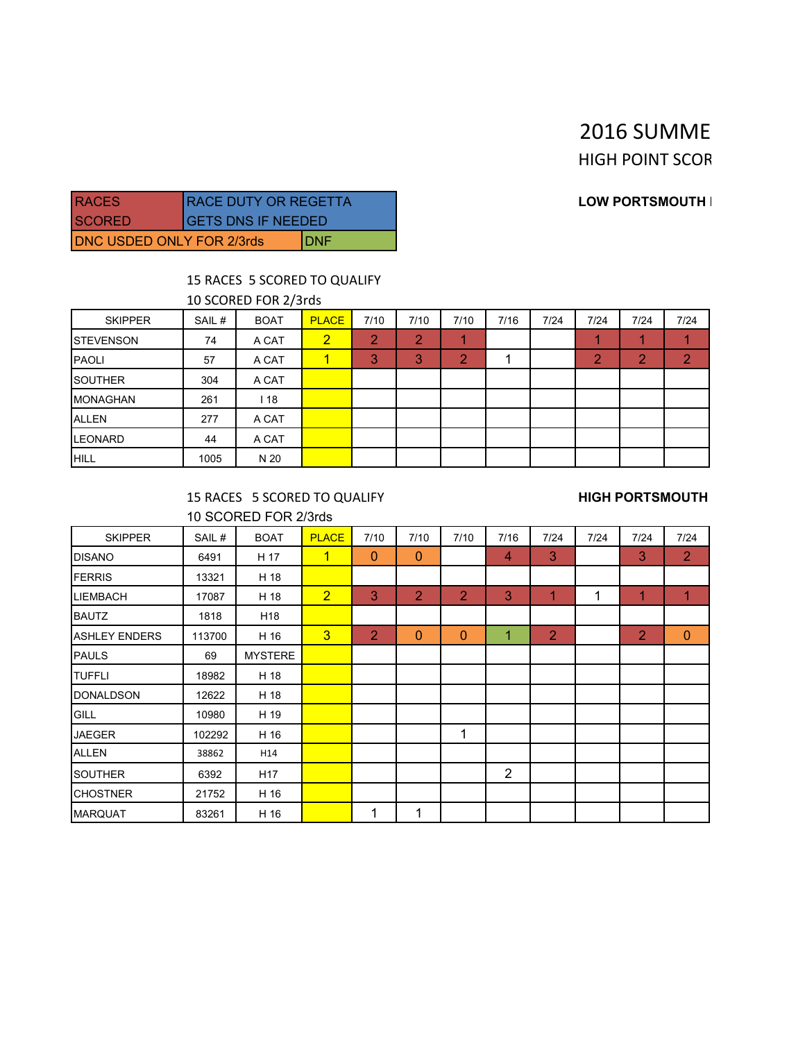# 2016 SUMME **HIGH POINT SCOR**

### **RACES RACES RACES RACE DUTY OR REGENTLE DUTY OF A LOW PORTSMOUTH I**

| IRACES.                   | <b>RACE DUTY OR REGETTA</b> |  |  |  |  |
|---------------------------|-----------------------------|--|--|--|--|
| ISCORFD                   | <b>GETS DNS IF NEEDED</b>   |  |  |  |  |
| DNC USDED ONLY FOR 2/3rds | IDNF                        |  |  |  |  |

### 15 RACES 5 SCORED TO QUALIFY

10 SCORED FOR 2/3rds

| <b>SKIPPER</b>    | SAIL# | <b>BOAT</b> | <b>PLACE</b>   | 7/10 | 7/10    | 7/10 | 7/16 | 7/24 | 7/24 | 7/24 | 7/24 |
|-------------------|-------|-------------|----------------|------|---------|------|------|------|------|------|------|
| <b>ISTEVENSON</b> | 74    | A CAT       | $\overline{2}$ | 2    | っ<br>z. |      |      |      |      |      |      |
| <b>PAOLI</b>      | 57    | A CAT       | 1              | 3    | 3       | o    |      |      | ı    |      | o    |
| <b>SOUTHER</b>    | 304   | A CAT       |                |      |         |      |      |      |      |      |      |
| <b>MONAGHAN</b>   | 261   | 118         |                |      |         |      |      |      |      |      |      |
| <b>ALLEN</b>      | 277   | A CAT       |                |      |         |      |      |      |      |      |      |
| <b>LEONARD</b>    | 44    | A CAT       |                |      |         |      |      |      |      |      |      |
| <b>HILL</b>       | 1005  | N 20        |                |      |         |      |      |      |      |      |      |

15 RACES 5 SCORED TO QUALIFY **HIGH PORTSMOUTH** 10 SCORED FOR 2/3rds

| <b>SKIPPER</b>       | SAIL#  | <b>BOAT</b>     | <b>PLACE</b>   | 7/10           | 7/10           | 7/10           | 7/16           | 7/24           | 7/24 | 7/24 | 7/24           |
|----------------------|--------|-----------------|----------------|----------------|----------------|----------------|----------------|----------------|------|------|----------------|
| <b>DISANO</b>        | 6491   | H 17            | $\mathbf{1}$   | $\mathbf 0$    | $\overline{0}$ |                | 4              | 3              |      | 3    | $\overline{2}$ |
| <b>FERRIS</b>        | 13321  | H 18            |                |                |                |                |                |                |      |      |                |
| <b>LIEMBACH</b>      | 17087  | H 18            | $\overline{2}$ | 3              | $\overline{2}$ | $\overline{2}$ | 3              | 1              | 1    | 1    | 1              |
| <b>BAUTZ</b>         | 1818   | H <sub>18</sub> |                |                |                |                |                |                |      |      |                |
| <b>ASHLEY ENDERS</b> | 113700 | H 16            | $\overline{3}$ | $\overline{2}$ | $\mathbf{0}$   | $\mathbf{0}$   | 1              | $\overline{2}$ |      | 2    | $\mathbf{0}$   |
| <b>PAULS</b>         | 69     | <b>MYSTERE</b>  |                |                |                |                |                |                |      |      |                |
| <b>TUFFLI</b>        | 18982  | H 18            |                |                |                |                |                |                |      |      |                |
| <b>DONALDSON</b>     | 12622  | H 18            |                |                |                |                |                |                |      |      |                |
| GILL                 | 10980  | H 19            |                |                |                |                |                |                |      |      |                |
| <b>JAEGER</b>        | 102292 | H 16            |                |                |                | 1              |                |                |      |      |                |
| <b>ALLEN</b>         | 38862  | H14             |                |                |                |                |                |                |      |      |                |
| SOUTHER              | 6392   | H <sub>17</sub> |                |                |                |                | $\overline{2}$ |                |      |      |                |
| <b>CHOSTNER</b>      | 21752  | H 16            |                |                |                |                |                |                |      |      |                |
| <b>MARQUAT</b>       | 83261  | H 16            |                | 1              | 1              |                |                |                |      |      |                |